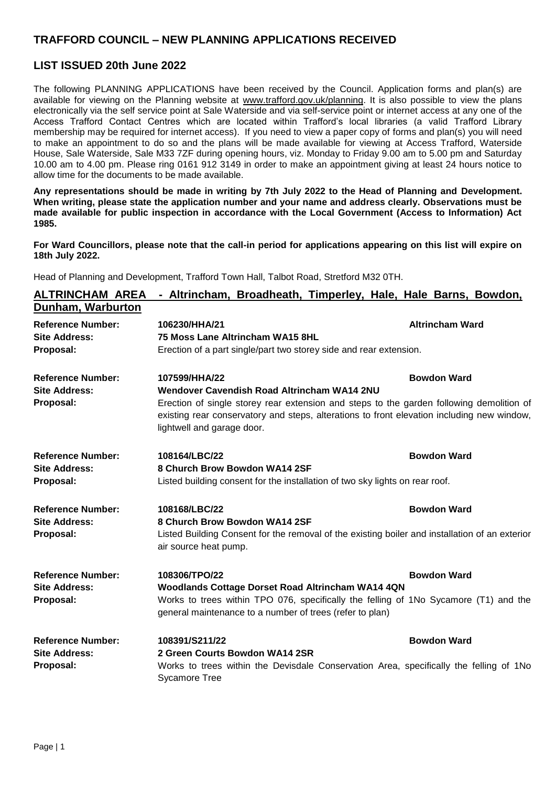## **TRAFFORD COUNCIL – NEW PLANNING APPLICATIONS RECEIVED**

## **LIST ISSUED 20th June 2022**

The following PLANNING APPLICATIONS have been received by the Council. Application forms and plan(s) are available for viewing on the Planning website at [www.trafford.gov.uk/planning.](http://www.trafford.gov.uk/planning) It is also possible to view the plans electronically via the self service point at Sale Waterside and via self-service point or internet access at any one of the Access Trafford Contact Centres which are located within Trafford's local libraries (a valid Trafford Library membership may be required for internet access). If you need to view a paper copy of forms and plan(s) you will need to make an appointment to do so and the plans will be made available for viewing at Access Trafford, Waterside House, Sale Waterside, Sale M33 7ZF during opening hours, viz. Monday to Friday 9.00 am to 5.00 pm and Saturday 10.00 am to 4.00 pm. Please ring 0161 912 3149 in order to make an appointment giving at least 24 hours notice to allow time for the documents to be made available.

**Any representations should be made in writing by 7th July 2022 to the Head of Planning and Development. When writing, please state the application number and your name and address clearly. Observations must be made available for public inspection in accordance with the Local Government (Access to Information) Act 1985.**

**For Ward Councillors, please note that the call-in period for applications appearing on this list will expire on 18th July 2022.**

Head of Planning and Development, Trafford Town Hall, Talbot Road, Stretford M32 0TH.

| <b>ALTRINCHAM AREA</b>   | - Altrincham, Broadheath, Timperley, Hale, Hale Barns, Bowdon,                                                                                                                                                       |                        |  |
|--------------------------|----------------------------------------------------------------------------------------------------------------------------------------------------------------------------------------------------------------------|------------------------|--|
| Dunham, Warburton        |                                                                                                                                                                                                                      |                        |  |
| <b>Reference Number:</b> | 106230/HHA/21                                                                                                                                                                                                        | <b>Altrincham Ward</b> |  |
| <b>Site Address:</b>     | 75 Moss Lane Altrincham WA15 8HL                                                                                                                                                                                     |                        |  |
| Proposal:                | Erection of a part single/part two storey side and rear extension.                                                                                                                                                   |                        |  |
| <b>Reference Number:</b> | 107599/HHA/22                                                                                                                                                                                                        | <b>Bowdon Ward</b>     |  |
| <b>Site Address:</b>     | <b>Wendover Cavendish Road Altrincham WA14 2NU</b>                                                                                                                                                                   |                        |  |
| Proposal:                | Erection of single storey rear extension and steps to the garden following demolition of<br>existing rear conservatory and steps, alterations to front elevation including new window,<br>lightwell and garage door. |                        |  |
| <b>Reference Number:</b> | 108164/LBC/22                                                                                                                                                                                                        | <b>Bowdon Ward</b>     |  |
| <b>Site Address:</b>     | 8 Church Brow Bowdon WA14 2SF                                                                                                                                                                                        |                        |  |
| Proposal:                | Listed building consent for the installation of two sky lights on rear roof.                                                                                                                                         |                        |  |
| <b>Reference Number:</b> | 108168/LBC/22                                                                                                                                                                                                        | <b>Bowdon Ward</b>     |  |
| <b>Site Address:</b>     | 8 Church Brow Bowdon WA14 2SF                                                                                                                                                                                        |                        |  |
| Proposal:                | Listed Building Consent for the removal of the existing boiler and installation of an exterior<br>air source heat pump.                                                                                              |                        |  |
| <b>Reference Number:</b> | 108306/TPO/22                                                                                                                                                                                                        | <b>Bowdon Ward</b>     |  |
| <b>Site Address:</b>     | Woodlands Cottage Dorset Road Altrincham WA14 4QN                                                                                                                                                                    |                        |  |
| Proposal:                | Works to trees within TPO 076, specifically the felling of 1No Sycamore (T1) and the                                                                                                                                 |                        |  |
|                          | general maintenance to a number of trees (refer to plan)                                                                                                                                                             |                        |  |
| <b>Reference Number:</b> | 108391/S211/22                                                                                                                                                                                                       | <b>Bowdon Ward</b>     |  |
| <b>Site Address:</b>     | 2 Green Courts Bowdon WA14 2SR                                                                                                                                                                                       |                        |  |
| Proposal:                | Works to trees within the Devisdale Conservation Area, specifically the felling of 1No<br><b>Sycamore Tree</b>                                                                                                       |                        |  |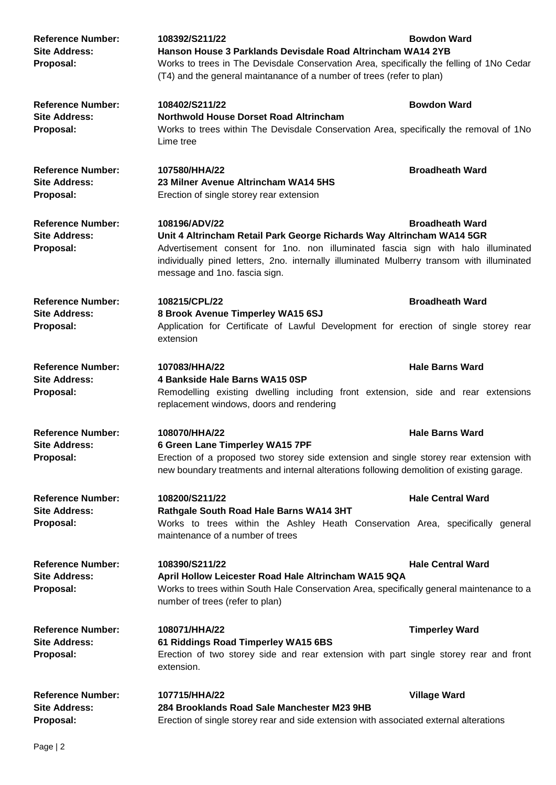| <b>Reference Number:</b><br><b>Site Address:</b><br>Proposal: | 108392/S211/22<br>Hanson House 3 Parklands Devisdale Road Altrincham WA14 2YB<br>Works to trees in The Devisdale Conservation Area, specifically the felling of 1No Cedar<br>(T4) and the general maintanance of a number of trees (refer to plan)                                                                                 | <b>Bowdon Ward</b>       |
|---------------------------------------------------------------|------------------------------------------------------------------------------------------------------------------------------------------------------------------------------------------------------------------------------------------------------------------------------------------------------------------------------------|--------------------------|
| <b>Reference Number:</b><br><b>Site Address:</b><br>Proposal: | 108402/S211/22<br><b>Northwold House Dorset Road Altrincham</b><br>Works to trees within The Devisdale Conservation Area, specifically the removal of 1No<br>Lime tree                                                                                                                                                             | <b>Bowdon Ward</b>       |
| <b>Reference Number:</b><br><b>Site Address:</b><br>Proposal: | 107580/HHA/22<br>23 Milner Avenue Altrincham WA14 5HS<br>Erection of single storey rear extension                                                                                                                                                                                                                                  | <b>Broadheath Ward</b>   |
| <b>Reference Number:</b><br><b>Site Address:</b><br>Proposal: | <b>Broadheath Ward</b><br>108196/ADV/22<br>Unit 4 Altrincham Retail Park George Richards Way Altrincham WA14 5GR<br>Advertisement consent for 1no. non illuminated fascia sign with halo illuminated<br>individually pined letters, 2no. internally illuminated Mulberry transom with illuminated<br>message and 1no. fascia sign. |                          |
| <b>Reference Number:</b><br><b>Site Address:</b><br>Proposal: | 108215/CPL/22<br>8 Brook Avenue Timperley WA15 6SJ<br>Application for Certificate of Lawful Development for erection of single storey rear<br>extension                                                                                                                                                                            | <b>Broadheath Ward</b>   |
| <b>Reference Number:</b><br><b>Site Address:</b><br>Proposal: | 107083/HHA/22<br>4 Bankside Hale Barns WA15 0SP<br>Remodelling existing dwelling including front extension, side and rear extensions<br>replacement windows, doors and rendering                                                                                                                                                   | <b>Hale Barns Ward</b>   |
| <b>Reference Number:</b><br><b>Site Address:</b><br>Proposal: | 108070/HHA/22<br><b>Hale Barns Ward</b><br>6 Green Lane Timperley WA15 7PF<br>Erection of a proposed two storey side extension and single storey rear extension with<br>new boundary treatments and internal alterations following demolition of existing garage.                                                                  |                          |
| <b>Reference Number:</b><br><b>Site Address:</b><br>Proposal: | 108200/S211/22<br>Rathgale South Road Hale Barns WA14 3HT<br>Works to trees within the Ashley Heath Conservation Area, specifically general<br>maintenance of a number of trees                                                                                                                                                    | <b>Hale Central Ward</b> |
| <b>Reference Number:</b><br><b>Site Address:</b><br>Proposal: | 108390/S211/22<br><b>Hale Central Ward</b><br>April Hollow Leicester Road Hale Altrincham WA15 9QA<br>Works to trees within South Hale Conservation Area, specifically general maintenance to a<br>number of trees (refer to plan)                                                                                                 |                          |
| <b>Reference Number:</b><br><b>Site Address:</b><br>Proposal: | 108071/HHA/22<br>61 Riddings Road Timperley WA15 6BS<br>Erection of two storey side and rear extension with part single storey rear and front<br>extension.                                                                                                                                                                        | <b>Timperley Ward</b>    |
| <b>Reference Number:</b><br><b>Site Address:</b><br>Proposal: | 107715/HHA/22<br>284 Brooklands Road Sale Manchester M23 9HB<br>Erection of single storey rear and side extension with associated external alterations                                                                                                                                                                             | <b>Village Ward</b>      |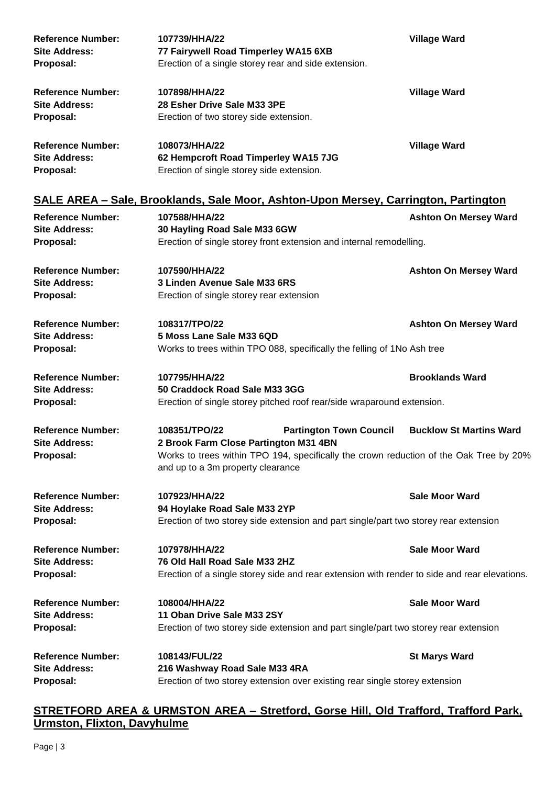| <b>Reference Number:</b> | 107739/HHA/22                                                                       | <b>Village Ward</b>          |
|--------------------------|-------------------------------------------------------------------------------------|------------------------------|
| <b>Site Address:</b>     | 77 Fairywell Road Timperley WA15 6XB                                                |                              |
| Proposal:                | Erection of a single storey rear and side extension.                                |                              |
| <b>Reference Number:</b> | 107898/HHA/22                                                                       | <b>Village Ward</b>          |
| <b>Site Address:</b>     | 28 Esher Drive Sale M33 3PE                                                         |                              |
| Proposal:                | Erection of two storey side extension.                                              |                              |
| <b>Reference Number:</b> | 108073/HHA/22                                                                       | <b>Village Ward</b>          |
| <b>Site Address:</b>     | 62 Hempcroft Road Timperley WA15 7JG                                                |                              |
| Proposal:                | Erection of single storey side extension.                                           |                              |
|                          | SALE AREA – Sale, Brooklands, Sale Moor, Ashton-Upon Mersey, Carrington, Partington |                              |
| <b>Reference Number:</b> | 107588/HHA/22                                                                       | <b>Ashton On Mersey Ward</b> |
| <b>Site Address:</b>     | 30 Hayling Road Sale M33 6GW                                                        |                              |
| Proposal:                | Erection of single storey front extension and internal remodelling.                 |                              |
| <b>Reference Number:</b> | 107590/HHA/22                                                                       | <b>Ashton On Mersey Ward</b> |
| <b>Site Address:</b>     | 3 Linden Avenue Sale M33 6RS                                                        |                              |

**Reference Number: 108317/TPO/22 Ashton On Mersey Ward Site Address: 5 Moss Lane Sale M33 6QD Proposal:** Works to trees within TPO 088, specifically the felling of 1No Ash tree

**Proposal:** Erection of single storey rear extension

**Reference Number: 107795/HHA/22 Brooklands Ward Site Address: 50 Craddock Road Sale M33 3GG Proposal:** Erection of single storey pitched roof rear/side wraparound extension.

**Reference Number: 108351/TPO/22 Partington Town Council Bucklow St Martins Ward Site Address: 2 Brook Farm Close Partington M31 4BN Proposal:** Works to trees within TPO 194, specifically the crown reduction of the Oak Tree by 20% and up to a 3m property clearance

**Reference Number: 107923/HHA/22 Sale Moor Ward Site Address: 94 Hoylake Road Sale M33 2YP Proposal:** Erection of two storey side extension and part single/part two storey rear extension

**Reference Number: 107978/HHA/22 Sale Moor Ward Site Address: 76 Old Hall Road Sale M33 2HZ Proposal:** Erection of a single storey side and rear extension with render to side and rear elevations.

**Reference Number: 108004/HHA/22 Sale Moor Ward Site Address: 11 Oban Drive Sale M33 2SY Proposal:** Erection of two storey side extension and part single/part two storey rear extension

**Reference Number: 108143/FUL/22 St Marys Ward Site Address: 216 Washway Road Sale M33 4RA Proposal:** Erection of two storey extension over existing rear single storey extension

## **STRETFORD AREA & URMSTON AREA – Stretford, Gorse Hill, Old Trafford, Trafford Park, Urmston, Flixton, Davyhulme**